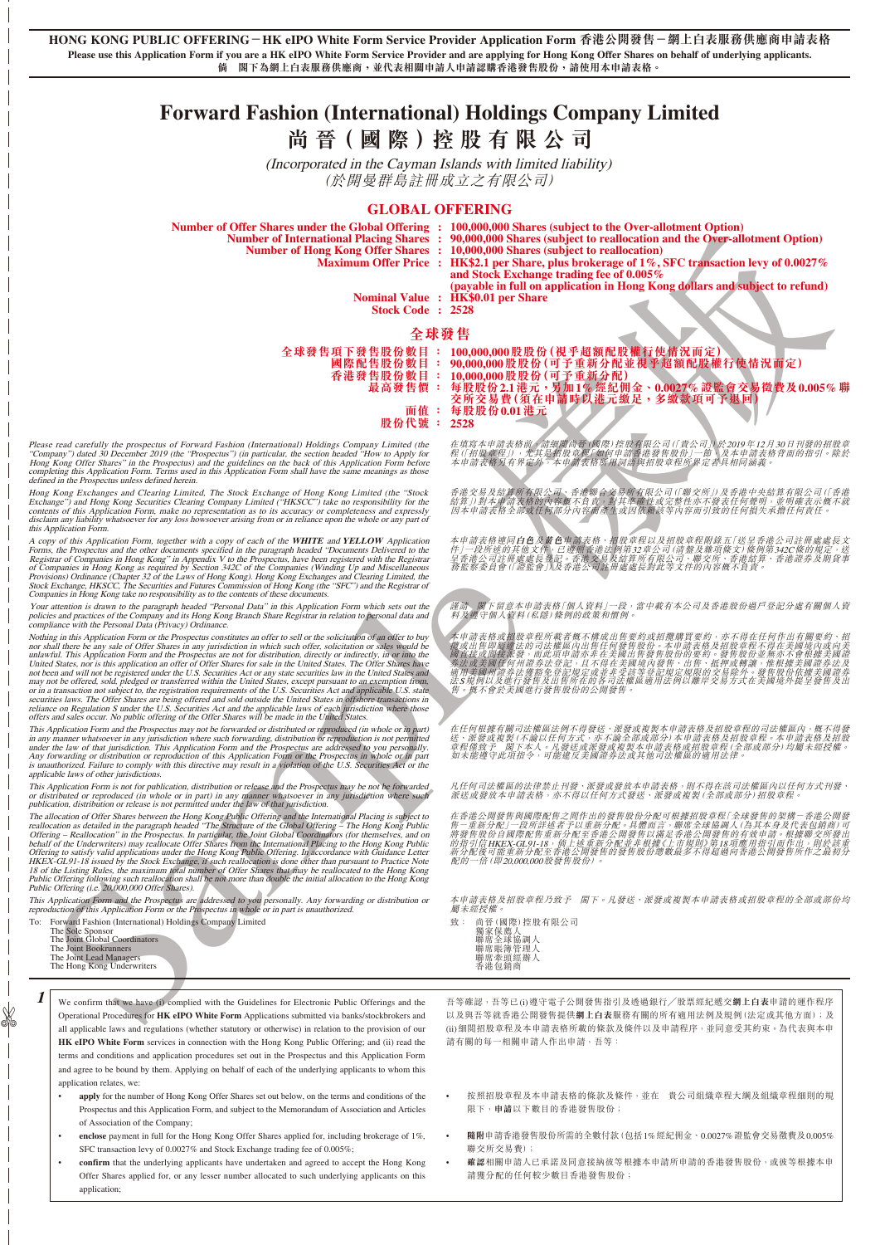**HONG KONG PUBLIC OFFERING-HK eIPO White Form Service Provider Application Form 香港公開發售-網上白表服務供應商申請表格 Please use this Application Form if you are a HK eIPO White Form Service Provider and are applying for Hong Kong Offer Shares on behalf of underlying applicants. 倘 閣下為網上白表服務供應商,並代表相關申請人申請認購香港發售股份,請使用本申請表格。**

# **Forward Fashion (International) Holdings Company Limited**

**尚 晉( 國 際 )控 股 有 限 公 司**

(Incorporated in the Cayman Islands with limited liability) (於開曼群島註冊成立之有限公司)

## **GLOBAL OFFERING**

|                                                                                                                                                                                                                                                                                                                                                                                                                                                                                                                                                                                                                                                                                                                                                                                                                                                                                                                                                                                                                                                                                                                                                                    | Number of Offer Shares under the Global Offering : 100,000,000 Shares (subject to the Over-allotment Option)<br>Number of International Placing Shares : 90,000,000 Shares (subject to reallocation and the Over-allotment Option)<br>Number of Hong Kong Offer Shares : 10,000,000 Shares (subject to reallocation)<br>Maximum Offer Price : HK\$2.1 per Share, plus brokerage of 1%, SFC transaction levy of 0.0027%<br>and Stock Exchange trading fee of 0.005%<br>(payable in full on application in Hong Kong dollars and subject to refund)<br>Nominal Value : HK\$0.01 per Share |
|--------------------------------------------------------------------------------------------------------------------------------------------------------------------------------------------------------------------------------------------------------------------------------------------------------------------------------------------------------------------------------------------------------------------------------------------------------------------------------------------------------------------------------------------------------------------------------------------------------------------------------------------------------------------------------------------------------------------------------------------------------------------------------------------------------------------------------------------------------------------------------------------------------------------------------------------------------------------------------------------------------------------------------------------------------------------------------------------------------------------------------------------------------------------|-----------------------------------------------------------------------------------------------------------------------------------------------------------------------------------------------------------------------------------------------------------------------------------------------------------------------------------------------------------------------------------------------------------------------------------------------------------------------------------------------------------------------------------------------------------------------------------------|
| Stock Code: 2528                                                                                                                                                                                                                                                                                                                                                                                                                                                                                                                                                                                                                                                                                                                                                                                                                                                                                                                                                                                                                                                                                                                                                   |                                                                                                                                                                                                                                                                                                                                                                                                                                                                                                                                                                                         |
| 國際配售股份數目 :<br>最高發售價:<br>股份代號                                                                                                                                                                                                                                                                                                                                                                                                                                                                                                                                                                                                                                                                                                                                                                                                                                                                                                                                                                                                                                                                                                                                       | 全球發售<br>全球發售項下發售股份數目: 100,000,000股股份(視乎超額配股權行使情況而定)<br>90,000,000股股份(可予重新分配並視乎超額配股權行使情況而定)<br>香港發售股份數目: 10,000,000股股份(可予重新分配)<br>每股股份2.1港元,另加1%經紀佣金、0.0027%證監會交易徵費及0.005%<br>交所交易費(須在申請時以港元繳足,多繳款項可予退回)<br>面值: 每股股份0.01港元<br>÷.<br>2528                                                                                                                                                                                                                                                                                                                                                 |
| e read carefully the prospectus of Forward Fashion (International) Holdings Company Limited (the<br>pany") dated 30 December 2019 (the "Prospectus") (in particular, the section headed "How to Apply for<br>Kong Offer Shares" in the Prospectus) and the guidelines on the back of this Application Form before<br>leting this Application Form. Terms used in this Application Form shall have the same meanings as those<br>ed in the Prospectus unless defined herein.                                                                                                                                                                                                                                                                                                                                                                                                                                                                                                                                                                                                                                                                                        | 在填寫本申請表格前《請細斷尚晉 (國際)控股有限公司(「貴公司」)於2019年12月30日刊發的招股<br>程 (1招股章程」)、尤其是相股資歷 @10年請審港發售股份」一節、及本申請表格背面的指引。除,<br>本申請表格另有界定外、本申請表格所用詞請與招股章程所罪定者具相同涵義。                                                                                                                                                                                                                                                                                                                                                                                                                                           |
| Kong Exchanges and Clearing Limited, The Stock Exchange of Hong Kong Limited (the "Stock<br>ange") and Hong Kong Securities Clearing Company Limited ("HKSCC") take no responsibility for the<br>nts of this Application Form, make no representation as to its accuracy or completeness and expressly<br>iim any liability whatsoever for any loss howsoever arising from or in reliance upon the whole or any part of<br>Application Form.                                                                                                                                                                                                                                                                                                                                                                                                                                                                                                                                                                                                                                                                                                                       | 香港交易及結算所有限公司、香港聯合交易所有限公司(「聯交所」)及香港中央結算有限公司(「香」<br>結算リ對本博請表格的內容離不負責、對其準確性或完整性亦不發表任何聲明,並明確表示概不<br>因本申請表格全部或任何部分內容而產生或因依賴該等內容而引致的任何損失承擔任何責任。                                                                                                                                                                                                                                                                                                                                                                                                                                               |
| by of this Application Form, together with a copy of each of the WHITE and YELLOW Application<br>representation of the documents specified in the paragraph headed "Documents Delivered to the Prospectus and the other documents specified in the paragraph headed "Documents Delivered to the strar of Companies in Hong Kong<br>sions) Ordinance (Chapter 32 of the Laws of Hong Kong). Hong Kong Exchanges and Clearing Limited, the Exchange, HKSCC, The Securities and Futures Commission of Hong Kong (the "SFC") and the Registrar of<br>panies in Hong Kong take no responsibility as to the contents of these documents.                                                                                                                                                                                                                                                                                                                                                                                                                                                                                                                                 | 本申請表格連同 <b>白色及黃色</b> 車請表格、招股章程以及招股章程附錄五「送呈香港公司註冊處處長」<br>件」一段所述的其他文件、已遵賴查港法例第32章公司(清盤及雜項條文)條例第342C條的規定,<br>呈香港公司註冊處處長徵記。香港交易及結算所有限公司、聯交所、香港結算、香港證券及期貨<br>務監察委員會(「證監會」)及香港公司註冊處處長對此等文件的內容概不負責。                                                                                                                                                                                                                                                                                                                                                                                            |
| attention is drawn to the paragraph headed "Personal Data" in this Application Form which sets out the<br>ies and practices of the Company and its Hong Kong Branch Share Registrar in relation to personal data and<br>liance with the Personal Data (Privacy) Ordinance.                                                                                                                                                                                                                                                                                                                                                                                                                                                                                                                                                                                                                                                                                                                                                                                                                                                                                         | 謹請、關下留意本申請表格「個人資料」一段,當中載有本公司及香港股份過戶登記分處有關個人」<br>料及蕈守個人資料 (私隱) 條例的政策和慣例                                                                                                                                                                                                                                                                                                                                                                                                                                                                                                                  |
| ing in this Application Form or the Prospectus constitutes an offer to sell or the solicitation of an offer to buy<br>hall there be any sale of Offer Shares in any jurisdiction in which such offer, solicitation or sales would be<br>vful. This Application Form and the Prospectus are not for distribution, directly or indirectly, in or into the<br>d States, nor is this application an offer of Offer Shares for sale in the United States. The Offer Shares have<br>een and will not be registered under the U.S. Securities Act or any state securities law in the United States and<br>not be offered, sold, pledged or transferred within the United States, except pursuant to an exemption from,<br>a transaction not subject to, the registration requirements of the U.S. Securities Act and applicable U.S. state<br>ities laws. The Offer Shares are being offered and sold outside the United States in offshore transactions in<br>ice on Regulation S under the U.S. Securities Act and the applicable laws of each jurisdiction where those<br>s and sales occur. No public offering of the Offer Shares will be made in the United States. | 本申請表格或招股章程所載者概不構成出售要約或招攬購買要約,亦不得在任何作出有關要約、<br>攬或出售即屬建法的司法權區內出售任何發售股份。本申請表格及招股章程不得在美國境內或向<br>過為往后一個地震。「而此項中請切并在美國出售發售、所以公司的要求所有所有者很大不同。」「「我們有可能要做到的。」「我們有可能有可能有可能的。」「我們有些的。」「我們有些是我的是我的一個人的。」「我們有 我們的 的复数 "惟根據美國證券法國 "我們的的要的。"我們的一個人的意思是是我們的一個人的是我們的<br>售。概不會於美國進行發售股份的公開發售。                                                                                                                                                                                                                                                                                                             |
| Application Form and the Prospectus may not be forwarded or distributed or reproduced (in whole or in part)<br>v manner whatsoever in any jurisdiction where such forwarding, distribution or reproduction is not permitted<br>the law of that jurisdiction. This Application Form and the Prospectus are addressed to you personally.<br>forwarding or distribution or reproduction of this Application Form or the Prospectus in whole or in part<br>authorized. Failure to comply with this directive may result in a violation of the U.S. Securities Aet or the<br>cable laws of other jurisdictions.                                                                                                                                                                                                                                                                                                                                                                                                                                                                                                                                                         | 在任何根據有關司法權區法例不得發送、派發或複製本申請表格及招股章程的司法權區內,概不得<br>送、派發或複製(不論以任何方式,亦不論全部或部分)本申請表格及招股章程。本申請表格及招,<br>章程僅致予 閣下本人。凡發送或派發或複製本申請表格或招股章程(全部或部分)均屬未經授權<br>如未能遵守此項指令,可能違反美國證券法或其他司法權區的適用法律。                                                                                                                                                                                                                                                                                                                                                                                                          |
| Application Form is not for publication, distribution or release and the Prospectus may be not be forwarded<br>stributed or reproduced (in whole or in part) in any manner whatsoever in any jurisdiction where such<br>cation, distribution or release is not permitted under the law of that jurisdiction.                                                                                                                                                                                                                                                                                                                                                                                                                                                                                                                                                                                                                                                                                                                                                                                                                                                       | 凡任何司法權區的法律禁止刊發、派發或發放本申請表格,則不得在該司法權區內以任何方式刊發<br>派送或發放本申請表格,亦不得以任何方式發送、派發或複製(全部或部分)招股章程                                                                                                                                                                                                                                                                                                                                                                                                                                                                                                   |
| llocation of Offer Shares between the Hong Kong Public Offering and the International Placing is subject to cation as detailed in the paragraph headed "The Structure of the Global Offering – The Hong Kong Public<br>ring – Reallocation" in the Prospectus. In particular, the Joint Global Coordinators (for themselves, and on<br>If of the Underwriters) may reallocate Offer Shares from the International Placing to the Hong Kong Public<br>ting to satisfy valid applications under the Hong Kong Public Offering. In accordance with Guidance Letter X-GL91-18 issued by the Stock Exchange, if such reallocation is done other than pursuant to Practice Note the Listi<br>c Offering following such reallocation shall be not more than double the initial allocation to the Hong Kong<br>c Offering (i.e. 20,000,000 Offer Shares).                                                                                                                                                                                                                                                                                                                  | 在香港公開發售與國際配售之間作出的發售股份分配可根據招股章程「全球發售的架構-香港公開:<br>生日、有效、自己的需求以及了。" "我们的人们的人们的人们的人们的人们,我们也会有一些有效代表包缩商"<br>将發售股份自國際配售重新分配至香港公開發售以滿足香港公開發售的有效申請。根據聯交所發<br>以前引信HKEX-Gr.1-13×病泄公庫務於配達和职政德世市規則以第18項應用指引即所指出,則於該<br>新分配後可能重新分配至香港公開發售的發售股份總數最多不得超過向香港公開發售所作之最初<br>配的一倍(即20.000.000股發售股份)。                                                                                                                                                                                                                                                                                                        |
| Application Form and the Prospectus are addressed to you personally. Any forwarding or distribution or<br>duction of this Application Form or the Prospectus in whole or in part is unauthorized.                                                                                                                                                                                                                                                                                                                                                                                                                                                                                                                                                                                                                                                                                                                                                                                                                                                                                                                                                                  | 本申請表格及招股章程乃致予 閣下。凡發送、派發或複製本申請表格或招股章程的全部或部份.<br>屬未經授權。                                                                                                                                                                                                                                                                                                                                                                                                                                                                                                                                   |
| Forward Fashion (International) Holdings Company Limited<br>The Sole Sponsor<br>The Joint Global Coordinators<br>The Joint Bookrunners<br>The Joint Lead Managers<br>The Hong Kong Underwriters                                                                                                                                                                                                                                                                                                                                                                                                                                                                                                                                                                                                                                                                                                                                                                                                                                                                                                                                                                    | 致: 尚晉(國際)控股有限公司<br>獨家保薦人<br>聯席全球協調人<br>聯席賬簿管理人<br>聯席牽頭經辦人<br>香港包銷商                                                                                                                                                                                                                                                                                                                                                                                                                                                                                                                      |
| We confirm that we have (i) complied with the Guidelines for Electronic Public Offerings and the                                                                                                                                                                                                                                                                                                                                                                                                                                                                                                                                                                                                                                                                                                                                                                                                                                                                                                                                                                                                                                                                   | 吾等確認,吾等已(i)遵守電子公開發售指引及透過銀行/股票經紀遞交鋼上白表申請的運作程序                                                                                                                                                                                                                                                                                                                                                                                                                                                                                                                                            |
| Operational Procedures for HK eIPO White Form Applications submitted via banks/stockbrokers and                                                                                                                                                                                                                                                                                                                                                                                                                                                                                                                                                                                                                                                                                                                                                                                                                                                                                                                                                                                                                                                                    | 以及與吾等就香港公開發售提供網上白表服務有關的所有適用法例及規例(法定或其他方面);及                                                                                                                                                                                                                                                                                                                                                                                                                                                                                                                                             |

| 全球發售         |                                                |
|--------------|------------------------------------------------|
| 全球發售項下發售股份數目 | 100,000,000股股份(視乎超額配股權行使情況而定)                  |
| 國際配售股份數目     | 90,000,000股股份(可予重新分配並視乎超額配股權行使情況而定)            |
| 香港發售股份數目     | 10,000,000 股股份 (可予重新分配)                        |
| 最高發售價        | 另加1%經紀佣金、0.0027%證監會交易徵費及0.005%聯<br>每股股份2.1 港元, |
|              | 交所交易費(須在申請時以港元繳足,多繳款項可予退回)                     |
| 面值           | 每股股份0.01港元                                     |
|              |                                                |

Please read carefully the prospectus of Forward Fashion (International) Holdings Company Limited (the<br>"Company") dated 30 December 2019 (the "Prospectus") (in particular, the section headed "How to Apply for<br>Hong Kong Offe

Hong Kong Exchanges and Clearing Limited, The Stock Exchange of Hong Kong Limited (the "Stock<br>Exchange") and Hong Kong Securities Clearing Company Limited ("HKSCC") take no responsibility for the<br>contents of this Applicati

A copy of this Application Form, together with a copy of each of the WHITE and YELLOW Application Forms, the Prospectus and the other documents specified in the paragraph headed "Documents Delivered to the Registrar of Com

Your attention is drawn to the paragraph headed "Personal Data" in this Application Form which sets out the<br>policies and practices of the Company and its Hong Kong Branch Share Registrar in relation to personal data and<br>co

Nothing in this Application Form or the Prospectus constitutes an offer to sell or the solicitation of an otier<br>nor shall there be any sale of Offer Shares in any jurisdiction in which such offer, solicitation or sales wou

This Application Form and the Prospectus may not be forwarded or distributed or reproduced (in whole or in part) in any marser whatsover in any invisidation where such forwarding, distribution where such the under the law

This Application Form is not for publication, distribution or release and the Prospectus may be not be forwarded<br>or distributed or reproduced (in whole or in part) in any manner whatsoever in any jurisdiction where such<br>pu

The allocation of Offer Shares between the Hong Kong Public Offering and the International Placing is subfiect to<br>reallocation as detailed in the paragraph headed "The Structure of the Global Offering - Reallocation" in th

This Application Form and the Prospectus are addressed to you personally. Any forwarding or distribution or reproduction of this Application Form or the Prospectus in whole or in part is unauthorized.

- Forward Fashion (International) Holdings Company Limited
- The Sole Sponsor The Joint Global Coordinators The Joint Bookrunners
- 
- 

✄

The Joint Lead Managers The Hong Kong Underwriters

- **1** We confirm that we have (i) complied with the Guidelines for Electronic Public Offerings and the Operational Procedures for **HK eIPO White Form** Applications submitted via banks/stockbrokers and all applicable laws and regulations (whether statutory or otherwise) in relation to the provision of our **HK eIPO White Form** services in connection with the Hong Kong Public Offering; and (ii) read the terms and conditions and application procedures set out in the Prospectus and this Application Form and agree to be bound by them. Applying on behalf of each of the underlying applicants to whom this application relates, we:
	- **apply** for the number of Hong Kong Offer Shares set out below, on the terms and conditions of the Prospectus and this Application Form, and subject to the Memorandum of Association and Articles of Association of the Company;
	- **enclose** payment in full for the Hong Kong Offer Shares applied for, including brokerage of 1%, SFC transaction levy of  $0.0027\%$  and Stock Exchange trading fee of  $0.005\%$ ;
	- **confirm** that the underlying applicants have undertaken and agreed to accept the Hong Kong Offer Shares applied for, or any lesser number allocated to such underlying applicants on this application;

- 致: 尚晉(國際)控股有限公司
	- 獨家保薦人<br>聯席全球協調人<br>聯席賬簿管理人<br>聯席牽頭經辦人<br>香港包銷商

吾等確認,吾等已(i)遵守電子公開發售指引及透過銀行╱股票經紀遞交**網上白表**申請的運作程序 以及與吾等就香港公開發售提供**網上白表**服務有關的所有適用法例及規例(法定或其他方面);及 (ii)細閱招股章程及本申請表格所載的條款及條件以及申請程序,並同意受其約束。為代表與本申 請有關的每一相關申請人作出申請,吾等:

- 按照招股章程及本申請表格的條款及條件,並在 貴公司組織章程大綱及組織章程細則的規 限下,**申請**以下數目的香港發售股份;
- **隨附**申請香港發售股份所需的全數付款(包括1%經紀佣金、0.0027%證監會交易徵費及0.005% 聯交所交易費);
- **確認**相關申請人已承諾及同意接納彼等根據本申請所申請的香港發售股份,或彼等根據本申 請獲分配的任何較少數目香港發售股份;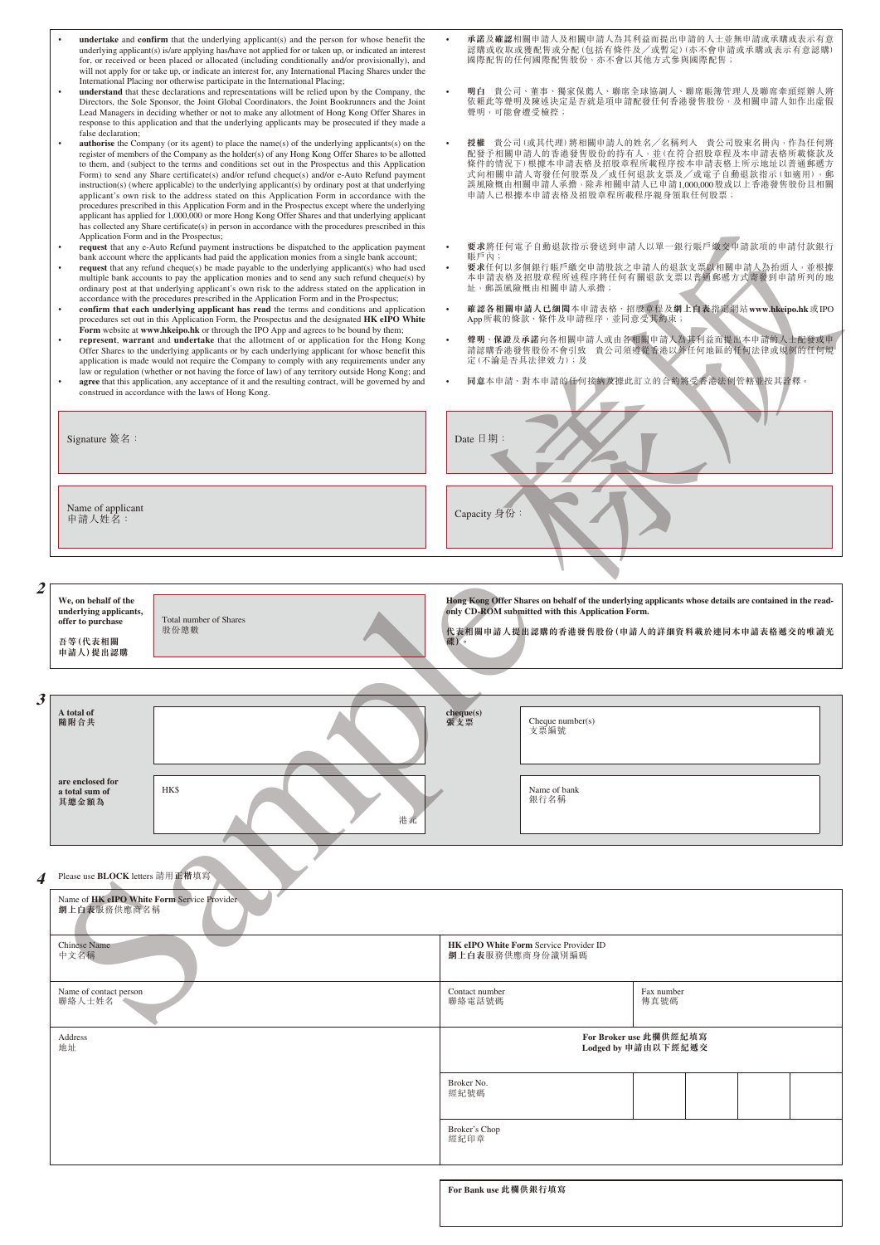|   | undertake and confirm that the underlying applicant(s) and the person for whose benefit the<br>underlying applicant(s) is/are applying has/have not applied for or taken up, or indicated an interest<br>for, or received or been placed or allocated (including conditionally and/or provisionally), and<br>will not apply for or take up, or indicate an interest for, any International Placing Shares under the<br>International Placing nor otherwise participate in the International Placing;                                                                                                                                                                                                                                                                                                                                                                                                                                                                                                                                                                                                                                                                                                                                                                                                                                                                 | 國際配售的任何國際配售股份, 亦不會以其他方式參與國際配售;                                          | 承諾及確認相關申請人及相關申請人為其利益而提出申請的人士並無申請或承購或表示有意<br>認購或收取或獲配售或分配(包括有條件及/或暫定)(亦不會申請或承購或表示有意認購)                                                                                                                                                                                     |
|---|----------------------------------------------------------------------------------------------------------------------------------------------------------------------------------------------------------------------------------------------------------------------------------------------------------------------------------------------------------------------------------------------------------------------------------------------------------------------------------------------------------------------------------------------------------------------------------------------------------------------------------------------------------------------------------------------------------------------------------------------------------------------------------------------------------------------------------------------------------------------------------------------------------------------------------------------------------------------------------------------------------------------------------------------------------------------------------------------------------------------------------------------------------------------------------------------------------------------------------------------------------------------------------------------------------------------------------------------------------------------|-------------------------------------------------------------------------|---------------------------------------------------------------------------------------------------------------------------------------------------------------------------------------------------------------------------------------------------------------------------|
|   | understand that these declarations and representations will be relied upon by the Company, the<br>Directors, the Sole Sponsor, the Joint Global Coordinators, the Joint Bookrunners and the Joint<br>Lead Managers in deciding whether or not to make any allotment of Hong Kong Offer Shares in<br>response to this application and that the underlying applicants may be prosecuted if they made a                                                                                                                                                                                                                                                                                                                                                                                                                                                                                                                                                                                                                                                                                                                                                                                                                                                                                                                                                                 | 聲明,可能會遭受檢控;                                                             | 明白 貴公司、董事、獨家保薦人、聯席全球協調人、聯席賬簿管理人及聯席牽頭經辦人將<br>依賴此等聲明及陳述決定是否就是項申請配發任何香港發售股份,及相關申請人如作出虛假                                                                                                                                                                                      |
|   | false declaration;<br><b>authorise</b> the Company (or its agent) to place the name(s) of the underlying applicants(s) on the<br>register of members of the Company as the holder(s) of any Hong Kong Offer Shares to be allotted<br>to them, and (subject to the terms and conditions set out in the Prospectus and this Application<br>Form) to send any Share certificate(s) and/or refund cheque(s) and/or e-Auto Refund payment<br>instruction(s) (where applicable) to the underlying applicant(s) by ordinary post at that underlying<br>applicant's own risk to the address stated on this Application Form in accordance with the<br>procedures prescribed in this Application Form and in the Prospectus except where the underlying<br>applicant has applied for 1,000,000 or more Hong Kong Offer Shares and that underlying applicant<br>has collected any Share certificate(s) in person in accordance with the procedures prescribed in this                                                                                                                                                                                                                                                                                                                                                                                                          | 申請人已根據本申請表格及招股章程所載程序親身領取任何股票;                                           | 授權 貴公司(或其代理)將相關申請人的姓名/名稱列入 貴公司股東名冊內,作為任何將<br>配發予相關申請人的香港發售股份的持有人,並(在符合招股章程及本申請表格所載條款及<br>條件的情況下)根據本申請表格及招股章程所載程序按本申請表格上所示地址以普通郵遞方<br>式向相關申請人寄發任何股票及/或任何退款支票及/或電子自動退款指示(如適用),郵<br>誤風險概由相關申請人承擔,除非相關申請人已申請1,000,000股或以上香港發售股份且相關                                            |
|   | Application Form and in the Prospectus;<br>request that any e-Auto Refund payment instructions be dispatched to the application payment<br>$\bullet$<br>bank account where the applicants had paid the application monies from a single bank account;<br><b>request</b> that any refund cheque(s) be made payable to the underlying applicant(s) who had used<br>multiple bank accounts to pay the application monies and to send any such refund cheque(s) by<br>ordinary post at that underlying applicant's own risk to the address stated on the application in<br>accordance with the procedures prescribed in the Application Form and in the Prospectus;<br>$\bullet$<br>confirm that each underlying applicant has read the terms and conditions and application<br>procedures set out in this Application Form, the Prospectus and the designated HK eIPO White<br>Form website at www.hkeipo.hk or through the IPO App and agrees to be bound by them;<br>represent, warrant and undertake that the allotment of or application for the Hong Kong<br>Offer Shares to the underlying applicants or by each underlying applicant for whose benefit this<br>application is made would not require the Company to comply with any requirements under any<br>law or regulation (whether or not having the force of law) of any territory outside Hong Kong; and | 賬戶內;<br>址,郵誤風險概由相關申請人承擔;<br>App所載的條款、條件及申請程序,並同意受其約束;<br>定(不論是否具法律效力);及 | 要求將任何電子自動退款指示發送到申請人以單一銀行賬戶繳交申請款項的申請付款銀行<br>要求任何以多個銀行賬戶繳交申請股款之申請人的退款支票以相關申請人為抬頭人,並根據<br>本申請表格及招股章程所述程序將任何有關退款支票以普通郵遞方式寄發到申請所列的地<br>確認各相關申請人已細関本申請表格、招股章程及網上白表指定網站www.hkeipo.hk或IPO<br>聲明、保證及承諾向各相關申請人或由各相關申請人為其利益而提出本申請的人士配發或申<br>請認購香港發售股份不會引致 貴公司須遵從香港以外任何地區的任何法律或規例的任何規 |
|   | agree that this application, any acceptance of it and the resulting contract, will be governed by and<br>$\bullet$<br>construed in accordance with the laws of Hong Kong.                                                                                                                                                                                                                                                                                                                                                                                                                                                                                                                                                                                                                                                                                                                                                                                                                                                                                                                                                                                                                                                                                                                                                                                            |                                                                         | 同意本申請、對本申請的任何接納及據此訂立的合約將受香港法例管轄並按其詮釋。                                                                                                                                                                                                                                     |
|   | Signature 簽名:                                                                                                                                                                                                                                                                                                                                                                                                                                                                                                                                                                                                                                                                                                                                                                                                                                                                                                                                                                                                                                                                                                                                                                                                                                                                                                                                                        | Date $\exists$ 期:                                                       |                                                                                                                                                                                                                                                                           |
|   | Name of applicant<br>申請人姓名:                                                                                                                                                                                                                                                                                                                                                                                                                                                                                                                                                                                                                                                                                                                                                                                                                                                                                                                                                                                                                                                                                                                                                                                                                                                                                                                                          | Capacity 身份:                                                            |                                                                                                                                                                                                                                                                           |
| 2 |                                                                                                                                                                                                                                                                                                                                                                                                                                                                                                                                                                                                                                                                                                                                                                                                                                                                                                                                                                                                                                                                                                                                                                                                                                                                                                                                                                      |                                                                         |                                                                                                                                                                                                                                                                           |
|   | We, on behalf of the<br>underlying applicants,<br>Total number of Shares<br>offer to purchase<br>股份總數<br>吾等(代表相關<br>申請人)提出認購                                                                                                                                                                                                                                                                                                                                                                                                                                                                                                                                                                                                                                                                                                                                                                                                                                                                                                                                                                                                                                                                                                                                                                                                                                         | only CD-ROM submitted with this Application Form.<br>碟)。                | Hong Kong Offer Shares on behalf of the underlying applicants whose details are contained in the read-<br>代表相關申請人提出認購的香港發售股份(申請人的詳細資料載於連同本申請表格遞交的唯讀光                                                                                                                      |
|   |                                                                                                                                                                                                                                                                                                                                                                                                                                                                                                                                                                                                                                                                                                                                                                                                                                                                                                                                                                                                                                                                                                                                                                                                                                                                                                                                                                      |                                                                         |                                                                                                                                                                                                                                                                           |
| 3 | A total of<br>隨附合共                                                                                                                                                                                                                                                                                                                                                                                                                                                                                                                                                                                                                                                                                                                                                                                                                                                                                                                                                                                                                                                                                                                                                                                                                                                                                                                                                   | cheque(s)<br>Cheque $number(s)$<br>張支票<br>支票編號                          |                                                                                                                                                                                                                                                                           |
|   | are enclosed for<br><b>HK\$</b><br>a total sum of<br>其總金額為<br>港元                                                                                                                                                                                                                                                                                                                                                                                                                                                                                                                                                                                                                                                                                                                                                                                                                                                                                                                                                                                                                                                                                                                                                                                                                                                                                                     | Name of bank<br>銀行名稱                                                    |                                                                                                                                                                                                                                                                           |
|   | Please use <b>BLOCK</b> letters 請用正楷填寫                                                                                                                                                                                                                                                                                                                                                                                                                                                                                                                                                                                                                                                                                                                                                                                                                                                                                                                                                                                                                                                                                                                                                                                                                                                                                                                               |                                                                         |                                                                                                                                                                                                                                                                           |
|   | Name of HK eIPO White Form Service Provider<br>網上白表服務供應商名稱                                                                                                                                                                                                                                                                                                                                                                                                                                                                                                                                                                                                                                                                                                                                                                                                                                                                                                                                                                                                                                                                                                                                                                                                                                                                                                           |                                                                         |                                                                                                                                                                                                                                                                           |
|   | <b>Chinese Name</b><br>中文名稱                                                                                                                                                                                                                                                                                                                                                                                                                                                                                                                                                                                                                                                                                                                                                                                                                                                                                                                                                                                                                                                                                                                                                                                                                                                                                                                                          | HK eIPO White Form Service Provider ID<br>網上白表服務供應商身份識別編碼               |                                                                                                                                                                                                                                                                           |
|   |                                                                                                                                                                                                                                                                                                                                                                                                                                                                                                                                                                                                                                                                                                                                                                                                                                                                                                                                                                                                                                                                                                                                                                                                                                                                                                                                                                      |                                                                         |                                                                                                                                                                                                                                                                           |
|   | Name of contact person<br>聯絡人士姓名                                                                                                                                                                                                                                                                                                                                                                                                                                                                                                                                                                                                                                                                                                                                                                                                                                                                                                                                                                                                                                                                                                                                                                                                                                                                                                                                     | Contact number<br>聯絡電話號碼                                                | Fax number<br>傳真號碼                                                                                                                                                                                                                                                        |
|   | Address<br>地址                                                                                                                                                                                                                                                                                                                                                                                                                                                                                                                                                                                                                                                                                                                                                                                                                                                                                                                                                                                                                                                                                                                                                                                                                                                                                                                                                        |                                                                         | For Broker use 此欄供經紀填寫<br>Lodged by 申請由以下經紀遞交                                                                                                                                                                                                                             |
|   |                                                                                                                                                                                                                                                                                                                                                                                                                                                                                                                                                                                                                                                                                                                                                                                                                                                                                                                                                                                                                                                                                                                                                                                                                                                                                                                                                                      | Broker No.<br>經紀號碼                                                      |                                                                                                                                                                                                                                                                           |
|   |                                                                                                                                                                                                                                                                                                                                                                                                                                                                                                                                                                                                                                                                                                                                                                                                                                                                                                                                                                                                                                                                                                                                                                                                                                                                                                                                                                      | Broker's Chop<br>經紀印章                                                   |                                                                                                                                                                                                                                                                           |
|   |                                                                                                                                                                                                                                                                                                                                                                                                                                                                                                                                                                                                                                                                                                                                                                                                                                                                                                                                                                                                                                                                                                                                                                                                                                                                                                                                                                      |                                                                         |                                                                                                                                                                                                                                                                           |
|   |                                                                                                                                                                                                                                                                                                                                                                                                                                                                                                                                                                                                                                                                                                                                                                                                                                                                                                                                                                                                                                                                                                                                                                                                                                                                                                                                                                      | For Bank use 此欄供銀行填寫                                                    |                                                                                                                                                                                                                                                                           |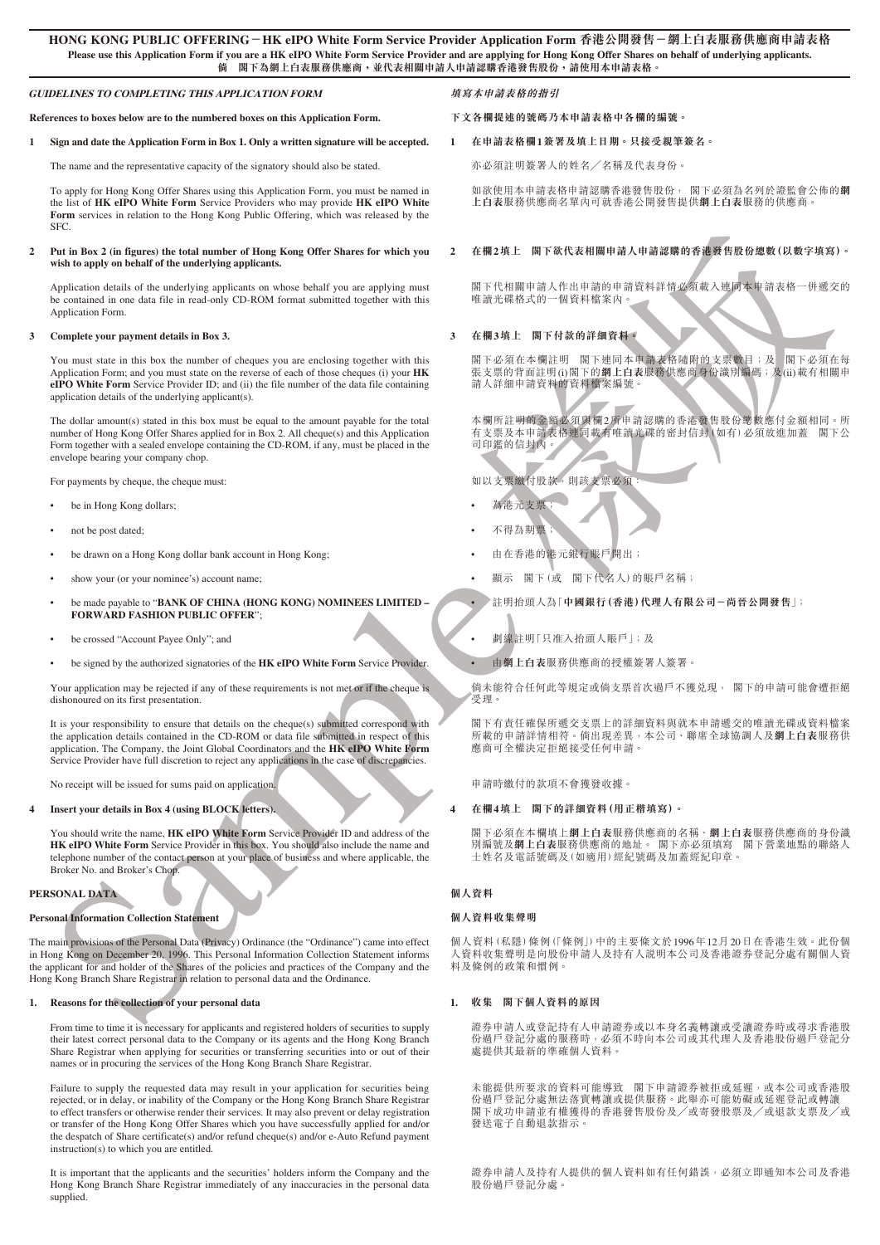#### **GUIDELINES TO COMPLETING THIS APPLICATION FORM**

**References to boxes below are to the numbered boxes on this Application Form.**

#### **1 Sign and date the Application Form in Box 1. Only a written signature will be accepted.**

The name and the representative capacity of the signatory should also be stated.

To apply for Hong Kong Offer Shares using this Application Form, you must be named in the list of **HK eIPO White Form** Service Providers who may provide **HK eIPO White Form** services in relation to the Hong Kong Public Offering, which was released by the SFC.

#### **2 Put in Box 2 (in figures) the total number of Hong Kong Offer Shares for which you wish to apply on behalf of the underlying applicants.**

Application details of the underlying applicants on whose behalf you are applying must be contained in one data file in read-only CD-ROM format submitted together with this Application Form.

#### **3 Complete your payment details in Box 3.**

You must state in this box the number of cheques you are enclosing together with this Application Form; and you must state on the reverse of each of those cheques (i) your **HK eIPO White Form** Service Provider ID; and (ii) the file number of the data file containing application details of the underlying applicant(s).

The dollar amount(s) stated in this box must be equal to the amount payable for the total number of Hong Kong Offer Shares applied for in Box 2. All cheque(s) and this Application Form together with a sealed envelope containing the CD-ROM, if any, must be placed in the envelope bearing your company chop.

For payments by cheque, the cheque must:

- be in Hong Kong dollars;
- not be post dated;
- be drawn on a Hong Kong dollar bank account in Hong Kong;
- show your (or your nominee's) account name:
- be made payable to "**BANK OF CHINA (HONG KONG) NOMINEES LIMITED FORWARD FASHION PUBLIC OFFER**";
- be crossed "Account Payee Only"; and
- be signed by the authorized signatories of the **HK eIPO White Form** Service Provider.

Your application may be rejected if any of these requirements is not met or if the cheque is dishonoured on its first presentation.

It is your responsibility to ensure that details on the cheque(s) submitted correspond with the application details contained in the CD-ROM or data file submitted in respect of this application. The Company, the Joint Global Coordinators and the **HK eIPO White Form** Service Provider have full discretion to reject any applications in the case of discrepancies.

No receipt will be issued for sums paid on application.

#### **4 Insert your details in Box 4 (using BLOCK letters).**

You should write the name, **HK eIPO White Form** Service Provider ID and address of the **HK eIPO White Form** Service Provider in this box. You should also include the name and telephone number of the contact person at your place of business and where applicable, the Broker No. and Broker's Chop.

#### **PERSONAL DATA**

#### **Personal Information Collection Statement**

Some the control of the control of the control of the control of the control of the control of the control of the control of the control of the control of the control of the control of the control of the control of the co The main provisions of the Personal Data (Privacy) Ordinance (the "Ordinance") came into effect in Hong Kong on December 20, 1996. This Personal Information Collection Statement informs the applicant for and holder of the Shares of the policies and practices of the Company and the Hong Kong Branch Share Registrar in relation to personal data and the Ordinance

#### **1. Reasons for the collection of your personal data**

From time to time it is necessary for applicants and registered holders of securities to supply their latest correct personal data to the Company or its agents and the Hong Kong Branch Share Registrar when applying for securities or transferring securities into or out of their names or in procuring the services of the Hong Kong Branch Share Registrar.

Failure to supply the requested data may result in your application for securities being rejected, or in delay, or inability of the Company or the Hong Kong Branch Share Registrar to effect transfers or otherwise render their services. It may also prevent or delay registration or transfer of the Hong Kong Offer Shares which you have successfully applied for and/or the despatch of Share certificate(s) and/or refund cheque(s) and/or e-Auto Refund payment instruction(s) to which you are entitled.

It is important that the applicants and the securities' holders inform the Company and the Hong Kong Branch Share Registrar immediately of any inaccuracies in the personal data supplied.

### **填寫本申請表格的指引**

#### **下文各欄提述的號碼乃本申請表格中各欄的編號。**

## **1 在申請表格欄1簽署及填上日期。只接受親筆簽名。**

亦必須註明簽署人的姓名╱名稱及代表身份。

如欲使用本申請表格申請認購香港發售股份, 閣下必須為名列於證監會公佈的**網 上白表**服務供應商名單內可就香港公開發售提供**網上白表**服務的供應商。

## **2 在欄2填上 閣下欲代表相關申請人申請認購的香港發售股份總數(以數字填寫)。**

閣下代相關申請人作出申請的申請資料詳情必須載入連同本申請表格一併遞交的 唯讀光碟格式的一個資料檔案內。

#### **3 在欄3填上 閣下付款的詳細資料。**

閣下必須在本欄註明 閣下連同本申請表格隨附的支票數目;及 閣下必須在每 張支票的背面註明(i)閣下的**網上白表**服務供應商身份識別編碼;及(ii)載有相關申 請人詳細申請資料的資料檔案編號。

本欄所註明的金額必須與欄2所申請認購的香港發售股份總數應付金額相同。所 有支票及本申請表格連同載有唯讀光碟的密封信封(如有)必須放進加蓋 閣下公 司印鑑的信封內。

如以支票繳付股款,則該支票必須:

- 為港元支票;
- 不得為期票;
- 由在香港的港元銀行賬戶開出;
- 顯示 閣下(或 閣下代名人)的賬戶名稱;

• 註明抬頭人為「**中國銀行(香港)代理人有限公司-尚晉公開發售**」;

- 劃線註明「只准入抬頭人賬戶」;及
- 由**網上白表**服務供應商的授權簽署人簽署。

倘未能符合任何此等規定或倘支票首次過戶不獲兌現, 閣下的申請可能會遭拒絕 受理。

閣下有青任確保所遞交支票上的詳細資料與就本申請遞交的唯讀光碟或資料檔案 所載的申請詳情相符。倘出現差異,本公司、聯席全球協調人及**網上白表**服務供 應商可全權決定拒絕接受任何申請。

申請時繳付的款項不會獲發收據。

#### **4 在欄4填上 閣下的詳細資料(用正楷填寫)。**

閣下必須在本欄填上**網上白表**服務供應商的名稱、**網上白表**服務供應商的身份識 別編號及**網上白表**服務供應商的地址。 閣下亦必須填寫 閣下營業地點的聯絡人 士姓名及電話號碼及(如適用)經紀號碼及加蓋經紀印章。

## **個人資料**

#### **個人資料收集聲明**

個人資料(私隱)條例(「條例」)中的主要條文於1996年12月20日在香港生效。此份個 人資料收集聲明是向股份申請人及持有人說明本公司及香港證券登記分處有關個人資 料及條例的政策和慣例。

#### **1. 收集 閣下個人資料的原因**

證券申請人或登記持有人申請證券或以本身名義轉讓或受讓證券時或尋求香港股 份過戶登記分處的服務時,必須不時向本公司或其代理人及香港股份過戶登記分 處提供其最新的準確個人資料。

未能提供所要求的資料可能導致 閣下申請證券被拒或延遲,或本公司或香港股 份過戶登記分處無法落實轉讓或提供服務。此舉亦可能妨礙或延遲登記或轉讓 閣下成功申請並有權獲得的香港發售股份及╱或寄發股票及╱或退款支票及╱或 發送電子自動退款指示。

證券申請人及持有人提供的個人資料如有任何錯誤,必須立即通知本公司及香港 股份過戶登記分處。